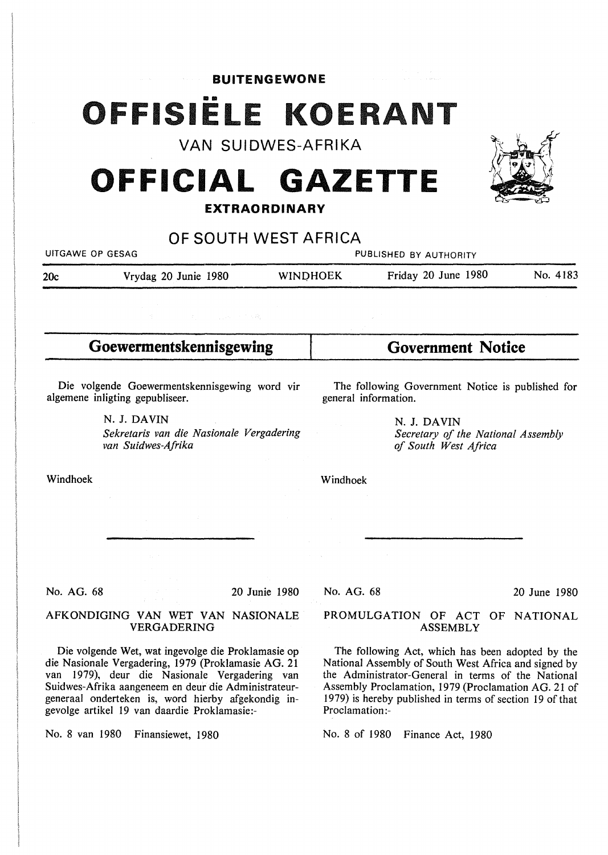## **BUITENGEWONE**  OFFISIËLE KOERANT

# VAN SUIDWES-AFRIKA<br>**OFFICIAL GAZETTE EXTRAORDINARY**



| UITGAWE OP GESAG |                      | PUBLISHED BY AUTHORITY |                     |          |
|------------------|----------------------|------------------------|---------------------|----------|
| 20c              | Vrydag 20 Junie 1980 | <b>WINDHOEK</b>        | Friday 20 June 1980 | No. 4183 |
|                  |                      |                        |                     |          |

**Goewermentskennisgewing** 

Die volgende Goewerrnentskennisgewing word vir algemene inligting gepubliseer.

> N. J. DAVIN *Sekretaris van die Nasionale Vergadering van Suidwes-Afrika*

**Government Notice** 

The following Government Notice is published for general information.

> **N. J. DAVIN**  *Secretary of the National Assembly of South West Africa*

Windhoek

Windhoek

No. AG. 68

20 Junie 1980

### AFKONDIGING VAN WET VAN NASIONALE VERGADERING

Die volgende Wet, wat ingevolge die Proklamasie op die Nasionale Vergadering, 1979 (Proklamasie AG. 21 van 1979), deur die Nasionale Vergadering van Suidwes-Afrika aangeneem en deur die Administrateurgeneraal onderteken is, word hierby afgekondig ingevolge artikel 19 van daardie Proklamasie:-

No. 8 van 1980 Finansiewet, 1980

No. AG. 68

20 June 1980

#### PROMULGATION OF ACT OF NATIONAL ASSEMBLY

The following Act, which has been adopted by the National Assembly of South West Africa and signed by the Administrator-General in terms of the National Assembly Proclamation, 1979 (Proclamation AG. 21 of 1979) is hereby published in terms of section 19 of that Proclamation:-

No. 8 of 1980 Finance Act, 1980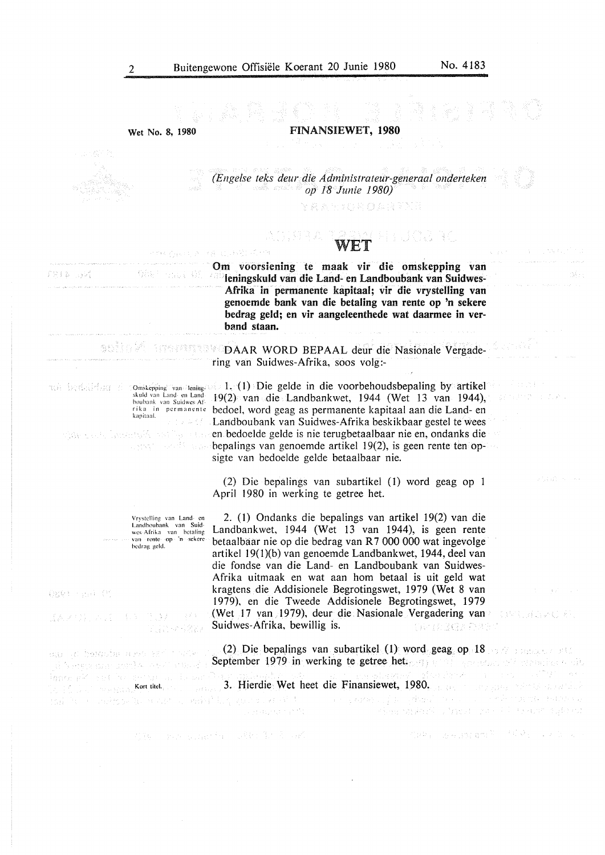$\sim 10^{11}$ 

a mata

arramentes.

**Wet No. 8, 1980** 

专注: 一出志, 《经》

**FINANSIEWET, 1980** 

*(Engelse teks deur die Administrateur-g{!neraal onderteken op 18 Junie 1980)* 

计关系函数 法特别性医院室

- BEST 이 나이 같이.

megan, a cannell Cor والمواضح والمتورد

## WET

Om voorsiening te maak vir die omskepping van ieningskuld van die Land- en Landboubank van Suidwes-Afrika in permanente kapitaal; vir die vrystelling van genoemde bank van die betaling van rente op 'n sekere bedrag geld; en vir aangeleenthede wat daarmee in verband staan.

**DAAR WORD BEPAAL deur die Nasionale Vergade**ring van Suidwes-Afrika, soos volg:-

Oms.kcpping van lcning~ 1. ( l) Die gelde in die voorbehoudsbepaling by artikel !9(2) van die Landbankwet, 1944 (Wet 13 van 1944), bedoel, word geag as permanente kapitaal aan die Land- en Landboubank van Suidwes-Afrika beskikbaar gestel te wees en bedoelde gelde is nie terugbetaalbaar nie en, ondanks die bepalings van genoemde artikel 19(2), is geen rente ten opsigte van bedoelde gelde betaalbaar nie.

> (2) Die bepalings van subartikel (1) word geag op 1 April 1980 in werking te getree het.

2. (I) Ondanks die bepalings van artikel 19(2) van die Landbankwet, 1944 (Wet 13 van 1944), is geen rente betaalbaar nie op die bedrag van R 7 000 000 wat ingevolge artikel l 9(l)(b) van genoemde Landbankwet, 1944, deel van die fondse van die Land- en Landboubank van Suidwes-Afrika uitmaak en wat aan hom betaal is uit geld wat kragtens die Addisionele Begrotingswet, 1979 (Wet 8 van 1979), en die Tweede Addisionele Begrotingswet, 1979 (Wet 17 van 1979), deur die Nasionale Vergadering van Suidwes-Afrika, bewillig is. SKIDSGADNET

(2) Die bepalings van subartikel (1) word geag op 18  $\leq$  18  $\leq$ September 1979 in werking te getree het. die Sanker is die Steaten werden werden is der Steaten werden verwendet is der Steaten verwendet in der Steaten

i skala postaničnih popularnom kraljem od ostali s

的神经 法法庭经济的 经营业 医无足见

3. Hierdie Wet heet die Finansiewet, 1980.

特别 全球的复数形式 网络小部分的

a stablista na st

skuld van Land- en Landboubank van Suidwes-Afrika in permanente kapitaal. 19236 tar est lacousk valla un

ard saft sa

Vrystelling van Land- en<br>Landboubank van Suid-<br>wes Afrika van betaling<br>van rente op 'n sckere hcdrag. geld.

0891 (End 0)

FRID BRI -

共通 一部  $\{A, Z, C\}$ , with  $\{A, Y\}$ Vijare (227

นเมาเป โรงพุธโนย ควรราชธานายอิต al tempo que applicamente due d .<br>Spark på valt se dette av de bes **Kort titel.** The consequence of the consequence of the consequence of  $\mathbf{K}$  and  $\mathbf{K}$ .<br>Na si serik politica vitinsi skeleti bil popular sinta na sa sa provincija s predstavi sa sa sa na na matemati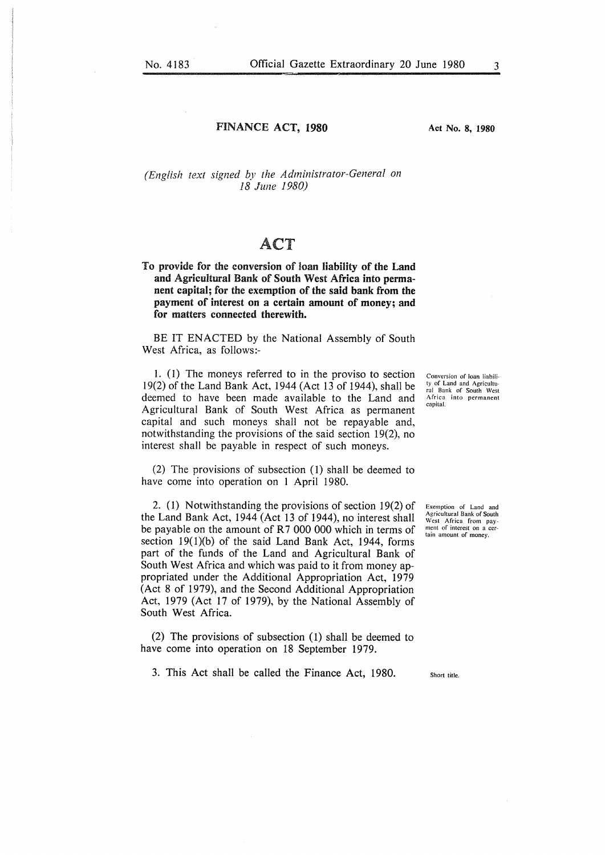### FINANCE ACT, 1980

Act No. 8, 1980

*(English text signed by the Administrator-General on 18 June 1980)* 

## ACT

To provide for the **conversion** of **loan liability of the Land and Agricultural Bank** of **South West Africa into permanent capital; for the exemption of the said bank from the payment of interest on a certain amount of money; and for matters connected therewith.** 

BE IT ENACTED by the National Assembly of South West Africa, as follows:-

1. (I) The moneys referred to in the proviso to section 19(2) of the Land Bank Act, 1944 (Act 13 of I 944), shall be deemed to have been made available to the Land and Agricultural Bank of South West Africa as permanent capital and such moneys shall not be repayable and, notwithstanding the provisions of the said section 19(2), no interest shall be payable in respect of such moneys.

(2) The provisions of subsection (1) shall be deemed to have come into operation on I April 1980.

2. (1) Notwithstanding the provisions of section 19(2) of the Land Bank Act, 1944 (Act 13 of 1944), no interest shall be payable on the amount of R7 000 000 which in terms of section 19(1)(b) of the said Land Bank Act, 1944, forms part of the funds of the Land and Agricultural Bank of South West Africa and which was paid to it from money appropriated under the Additional Appropriation Act, 1979 (Act 8 of 1979), and the Second Additional Appropriation Act, 1979 (Act 17 of 1979), by the National Assembly of South West Africa.

(2) The provisions of subsection (1) shall be deemed to have come into operation on 18 September 1979.

3. This Act shall be called the Finance Act, 1980.

Conversion of loan liability of Land and Agricultu-ral Bank of South West Africa into permanent capital.

Exemption of Land and Agricultural Bank of South West Africa from pay-ment of interest on a certain amount of money.

Short title.